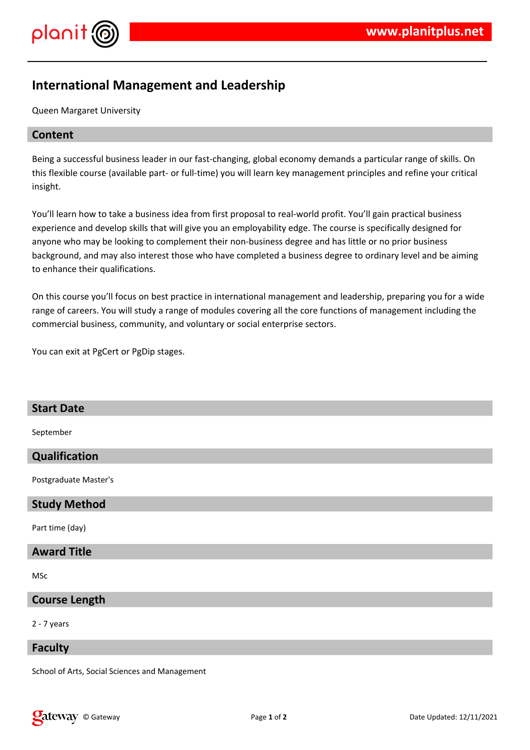

# **International Management and Leadership**

Queen Margaret University

# **Content**

Being a successful business leader in our fast-changing, global economy demands a particular range of skills. On this flexible course (available part- or full-time) you will learn key management principles and refine your critical insight.

You'll learn how to take a business idea from first proposal to real-world profit. You'll gain practical business experience and develop skills that will give you an employability edge. The course is specifically designed for anyone who may be looking to complement their non-business degree and has little or no prior business background, and may also interest those who have completed a business degree to ordinary level and be aiming to enhance their qualifications.

On this course you'll focus on best practice in international management and leadership, preparing you for a wide range of careers. You will study a range of modules covering all the core functions of management including the commercial business, community, and voluntary or social enterprise sectors.

You can exit at PgCert or PgDip stages.

| <b>Start Date</b>     |
|-----------------------|
| September             |
| Qualification         |
| Postgraduate Master's |
| <b>Study Method</b>   |
| Part time (day)       |
| <b>Award Title</b>    |
| MSc                   |
| <b>Course Length</b>  |
| $2 - 7$ years         |

#### **Faculty**

School of Arts, Social Sciences and Management